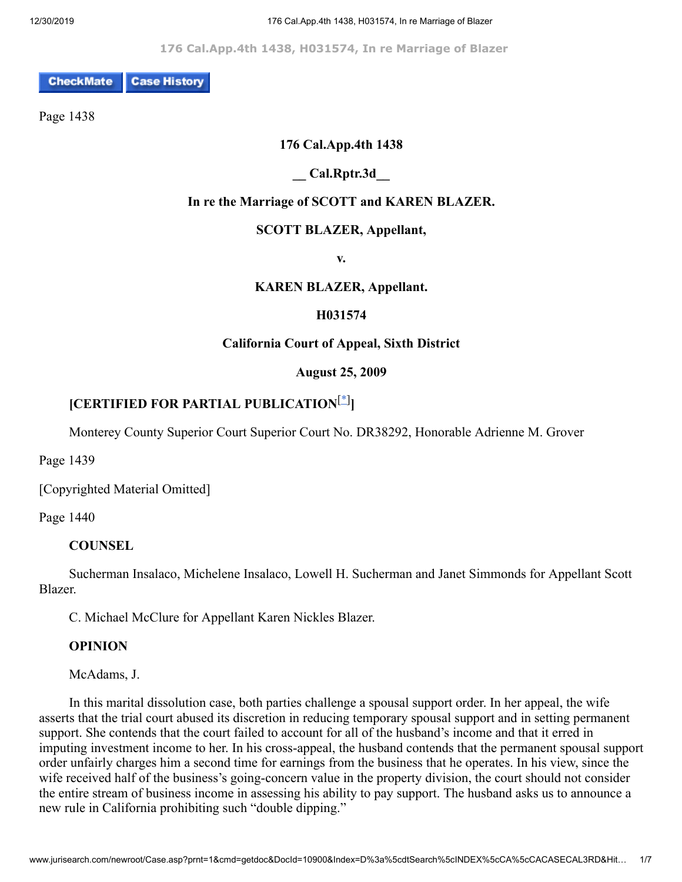**176 Cal.App.4th 1438, H031574, In re Marriage of Blazer** 

**Case History CheckMate** 

Page 1438

### **176 Cal.App.4th 1438**

### **\_\_ Cal.Rptr.3d\_\_**

### **In re the Marriage of SCOTT and KAREN BLAZER.**

### **SCOTT BLAZER, Appellant,**

**v.**

### **KAREN BLAZER, Appellant.**

### **H031574**

### **California Court of Appeal, Sixth District**

### <span id="page-0-0"></span>**August 25, 2009**

# **[CERTIFIED FOR PARTIAL PUBLICATION**[\[\\*\]](#page-6-0) **]**

Monterey County Superior Court Superior Court No. DR38292, Honorable Adrienne M. Grover

Page 1439

[Copyrighted Material Omitted]

Page 1440

### **COUNSEL**

 Sucherman Insalaco, Michelene Insalaco, Lowell H. Sucherman and Janet Simmonds for Appellant Scott Blazer.

C. Michael McClure for Appellant Karen Nickles Blazer.

### **OPINION**

McAdams, J.

 In this marital dissolution case, both parties challenge a spousal support order. In her appeal, the wife asserts that the trial court abused its discretion in reducing temporary spousal support and in setting permanent support. She contends that the court failed to account for all of the husband's income and that it erred in imputing investment income to her. In his cross-appeal, the husband contends that the permanent spousal support order unfairly charges him a second time for earnings from the business that he operates. In his view, since the wife received half of the business's going-concern value in the property division, the court should not consider the entire stream of business income in assessing his ability to pay support. The husband asks us to announce a new rule in California prohibiting such "double dipping."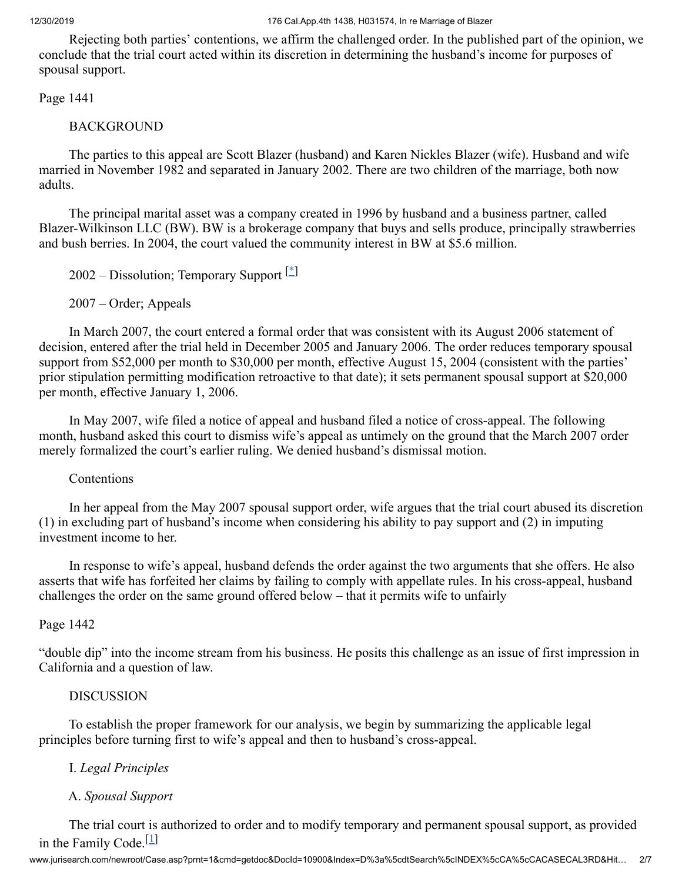Rejecting both parties' contentions, we affirm the challenged order. In the published part of the opinion, we conclude that the trial court acted within its discretion in determining the husband's income for purposes of spousal support.

Page 1441

### BACKGROUND

 The parties to this appeal are Scott Blazer (husband) and Karen Nickles Blazer (wife). Husband and wife married in November 1982 and separated in January 2002. There are two children of the marriage, both now adults.

 The principal marital asset was a company created in 1996 by husband and a business partner, called Blazer-Wilkinson LLC (BW). BW is a brokerage company that buys and sells produce, principally strawberries and bush berries. In 2004, the court valued the community interest in BW at \$5.6 million.

<span id="page-1-0"></span>2002 – Dissolution; Temporary Support [\[\\*](#page-6-1)]

2007 – Order; Appeals

 In March 2007, the court entered a formal order that was consistent with its August 2006 statement of decision, entered after the trial held in December 2005 and January 2006. The order reduces temporary spousal support from \$52,000 per month to \$30,000 per month, effective August 15, 2004 (consistent with the parties' prior stipulation permitting modification retroactive to that date); it sets permanent spousal support at \$20,000 per month, effective January 1, 2006.

 In May 2007, wife filed a notice of appeal and husband filed a notice of cross-appeal. The following month, husband asked this court to dismiss wife's appeal as untimely on the ground that the March 2007 order merely formalized the court's earlier ruling. We denied husband's dismissal motion.

Contentions

 In her appeal from the May 2007 spousal support order, wife argues that the trial court abused its discretion (1) in excluding part of husband's income when considering his ability to pay support and (2) in imputing investment income to her.

 In response to wife's appeal, husband defends the order against the two arguments that she offers. He also asserts that wife has forfeited her claims by failing to comply with appellate rules. In his cross-appeal, husband challenges the order on the same ground offered below – that it permits wife to unfairly

Page 1442

"double dip" into the income stream from his business. He posits this challenge as an issue of first impression in California and a question of law.

### DISCUSSION

 To establish the proper framework for our analysis, we begin by summarizing the applicable legal principles before turning first to wife's appeal and then to husband's cross-appeal.

### I. *Legal Principles*

## <span id="page-1-1"></span>A. *Spousal Support*

 The trial court is authorized to order and to modify temporary and permanent spousal support, as provided in the Family Code.<sup>[[1](#page-6-2)]</sup>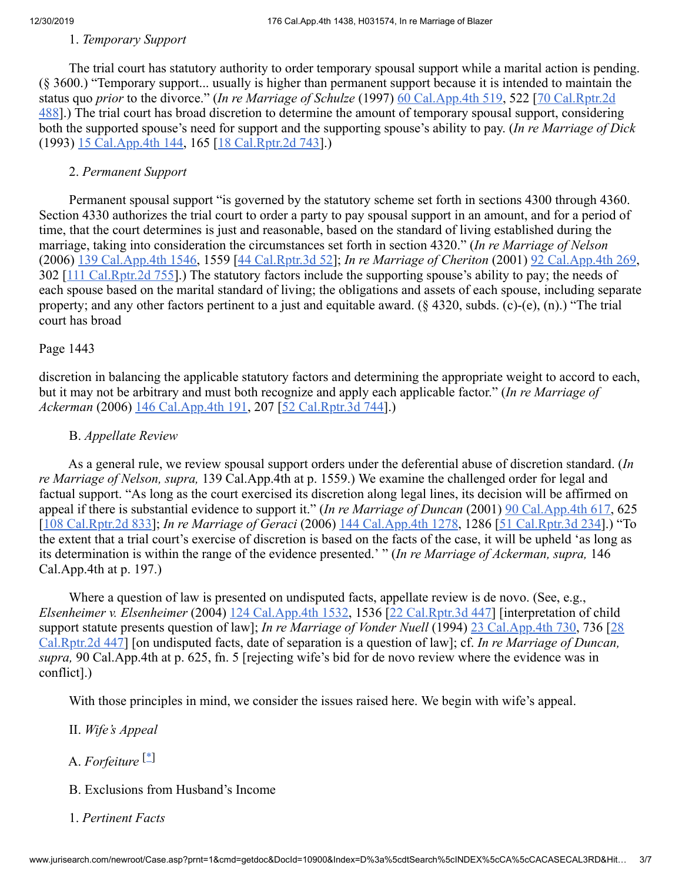### 1. *Temporary Support*

 The trial court has statutory authority to order temporary spousal support while a marital action is pending. (§ 3600.) "Temporary support... usually is higher than permanent support because it is intended to maintain the status quo *prior* to the divorce." (*In re Marriage of Schulze* (1997) [60 Cal.App.4th 519](http://www.jurisearch.com/newroot/caselink.asp?series=Cal.App.4th&citationno=60+Cal.App.4th+519), 522 [70 Cal.Rptr.2d [488\].\) The trial court has broad discretion to determine the amount of temporary spousal support, considerin](http://www.jurisearch.com/newroot/caselink.asp?series=Cal.Rptr.2d&citationno=70+Cal.Rptr.2d+488)g both the supported spouse's need for support and the supporting spouse's ability to pay. (*In re Marriage of Dick* (1993) [15 Cal.App.4th 144,](http://www.jurisearch.com/newroot/caselink.asp?series=Cal.App.4th&citationno=15+Cal.App.4th+144) 165 [\[18 Cal.Rptr.2d 743\]](http://www.jurisearch.com/newroot/caselink.asp?series=Cal.Rptr.2d&citationno=18+Cal.Rptr.2d+743).)

### 2. *Permanent Support*

 Permanent spousal support "is governed by the statutory scheme set forth in sections 4300 through 4360. Section 4330 authorizes the trial court to order a party to pay spousal support in an amount, and for a period of time, that the court determines is just and reasonable, based on the standard of living established during the marriage, taking into consideration the circumstances set forth in section 4320." (*In re Marriage of Nelson* (2006) [139 Cal.App.4th 1546,](http://www.jurisearch.com/newroot/caselink.asp?series=Cal.App.4th&citationno=139+Cal.App.4th+1546) 1559 [\[44 Cal.Rptr.3d 52\]](http://www.jurisearch.com/newroot/caselink.asp?series=Cal.Rptr.3d&citationno=44+Cal.Rptr.3d+52); *In re Marriage of Cheriton* (2001) [92 Cal.App.4th 269](http://www.jurisearch.com/newroot/caselink.asp?series=Cal.App.4th&citationno=92+Cal.App.4th+269), 302 [[111 Cal.Rptr.2d 755](http://www.jurisearch.com/newroot/caselink.asp?series=Cal.Rptr.2d&citationno=111+Cal.Rptr.2d+755)].) The statutory factors include the supporting spouse's ability to pay; the needs of each spouse based on the marital standard of living; the obligations and assets of each spouse, including separate property; and any other factors pertinent to a just and equitable award. (§ 4320, subds. (c)-(e), (n).) "The trial court has broad

### Page 1443

discretion in balancing the applicable statutory factors and determining the appropriate weight to accord to each, but it may not be arbitrary and must both recognize and apply each applicable factor." (*In re Marriage of Ackerman* (2006) [146 Cal.App.4th 191](http://www.jurisearch.com/newroot/caselink.asp?series=Cal.App.4th&citationno=146+Cal.App.4th+191), 207 [\[52 Cal.Rptr.3d 744\]](http://www.jurisearch.com/newroot/caselink.asp?series=Cal.Rptr.3d&citationno=52+Cal.Rptr.3d+744).)

### B. *Appellate Review*

 As a general rule, we review spousal support orders under the deferential abuse of discretion standard. (*In re Marriage of Nelson, supra,* 139 Cal.App.4th at p. 1559.) We examine the challenged order for legal and factual support. "As long as the court exercised its discretion along legal lines, its decision will be affirmed on appeal if there is substantial evidence to support it." (*In re Marriage of Duncan* (2001) [90 Cal.App.4th 617,](http://www.jurisearch.com/newroot/caselink.asp?series=Cal.App.4th&citationno=90+Cal.App.4th+617) 625 [[108 Cal.Rptr.2d 833](http://www.jurisearch.com/newroot/caselink.asp?series=Cal.Rptr.2d&citationno=108+Cal.Rptr.2d+833)]; *In re Marriage of Geraci* (2006) [144 Cal.App.4th 1278,](http://www.jurisearch.com/newroot/caselink.asp?series=Cal.App.4th&citationno=144+Cal.App.4th+1278) 1286 [\[51 Cal.Rptr.3d 234\]](http://www.jurisearch.com/newroot/caselink.asp?series=Cal.Rptr.3d&citationno=51+Cal.Rptr.3d+234).) "To the extent that a trial court's exercise of discretion is based on the facts of the case, it will be upheld 'as long as its determination is within the range of the evidence presented.' " (*In re Marriage of Ackerman, supra,* 146 Cal.App.4th at p. 197.)

Where a question of law is presented on undisputed facts, appellate review is de novo. (See, e.g., *Elsenheimer v. Elsenheimer* (2004) [124 Cal.App.4th 1532](http://www.jurisearch.com/newroot/caselink.asp?series=Cal.App.4th&citationno=124+Cal.App.4th+1532), 1536 [\[22 Cal.Rptr.3d 447\]](http://www.jurisearch.com/newroot/caselink.asp?series=Cal.Rptr.3d&citationno=22+Cal.Rptr.3d+447) [interpretation of child support statute presents question of law]; *In re Marriage of Vonder Nuell* (1994) [23 Cal.App.4th 730](http://www.jurisearch.com/newroot/caselink.asp?series=Cal.App.4th&citationno=23+Cal.App.4th+730), 736 [28] [Cal.Rptr.2d 447\] \[on undisputed facts, date of separation is a question of law\]; cf.](http://www.jurisearch.com/newroot/caselink.asp?series=Cal.Rptr.2d&citationno=28+Cal.Rptr.2d+447) *In re Marriage of Duncan, supra,* 90 Cal.App.4th at p. 625, fn. 5 [rejecting wife's bid for de novo review where the evidence was in conflict].)

With those principles in mind, we consider the issues raised here. We begin with wife's appeal.

- <span id="page-2-0"></span>II. *Wife's Appeal*
- A. *Forfeiture* [\[\\*](#page-6-3)]
	- B. Exclusions from Husband's Income
	- 1. *Pertinent Facts*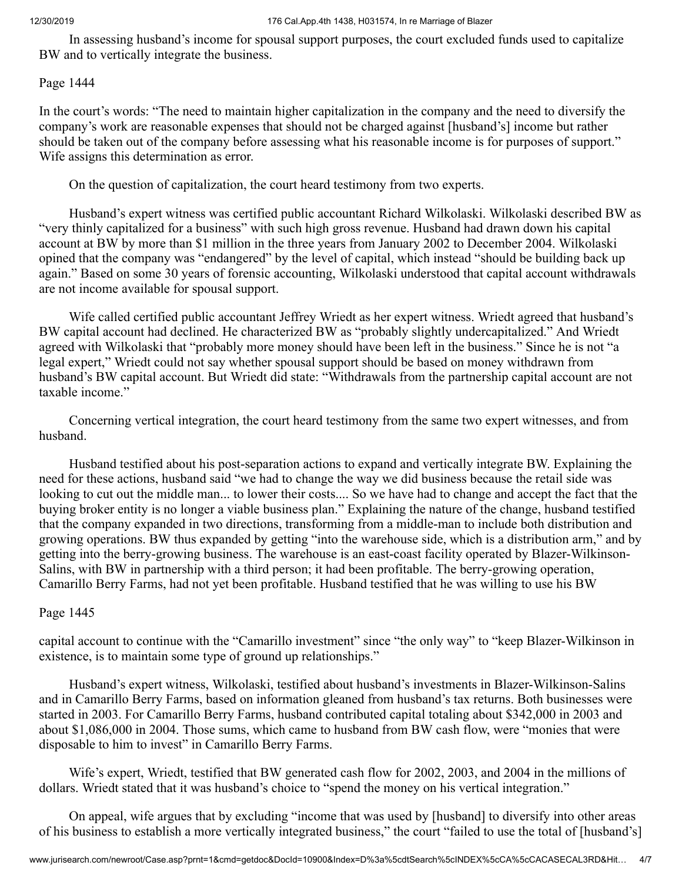In assessing husband's income for spousal support purposes, the court excluded funds used to capitalize BW and to vertically integrate the business.

### Page 1444

In the court's words: "The need to maintain higher capitalization in the company and the need to diversify the company's work are reasonable expenses that should not be charged against [husband's] income but rather should be taken out of the company before assessing what his reasonable income is for purposes of support." Wife assigns this determination as error.

On the question of capitalization, the court heard testimony from two experts.

 Husband's expert witness was certified public accountant Richard Wilkolaski. Wilkolaski described BW as "very thinly capitalized for a business" with such high gross revenue. Husband had drawn down his capital account at BW by more than \$1 million in the three years from January 2002 to December 2004. Wilkolaski opined that the company was "endangered" by the level of capital, which instead "should be building back up again." Based on some 30 years of forensic accounting, Wilkolaski understood that capital account withdrawals are not income available for spousal support.

 Wife called certified public accountant Jeffrey Wriedt as her expert witness. Wriedt agreed that husband's BW capital account had declined. He characterized BW as "probably slightly undercapitalized." And Wriedt agreed with Wilkolaski that "probably more money should have been left in the business." Since he is not "a legal expert," Wriedt could not say whether spousal support should be based on money withdrawn from husband's BW capital account. But Wriedt did state: "Withdrawals from the partnership capital account are not taxable income."

 Concerning vertical integration, the court heard testimony from the same two expert witnesses, and from husband.

 Husband testified about his post-separation actions to expand and vertically integrate BW. Explaining the need for these actions, husband said "we had to change the way we did business because the retail side was looking to cut out the middle man... to lower their costs.... So we have had to change and accept the fact that the buying broker entity is no longer a viable business plan." Explaining the nature of the change, husband testified that the company expanded in two directions, transforming from a middle-man to include both distribution and growing operations. BW thus expanded by getting "into the warehouse side, which is a distribution arm," and by getting into the berry-growing business. The warehouse is an east-coast facility operated by Blazer-Wilkinson-Salins, with BW in partnership with a third person; it had been profitable. The berry-growing operation, Camarillo Berry Farms, had not yet been profitable. Husband testified that he was willing to use his BW

### Page 1445

capital account to continue with the "Camarillo investment" since "the only way" to "keep Blazer-Wilkinson in existence, is to maintain some type of ground up relationships."

 Husband's expert witness, Wilkolaski, testified about husband's investments in Blazer-Wilkinson-Salins and in Camarillo Berry Farms, based on information gleaned from husband's tax returns. Both businesses were started in 2003. For Camarillo Berry Farms, husband contributed capital totaling about \$342,000 in 2003 and about \$1,086,000 in 2004. Those sums, which came to husband from BW cash flow, were "monies that were disposable to him to invest" in Camarillo Berry Farms.

 Wife's expert, Wriedt, testified that BW generated cash flow for 2002, 2003, and 2004 in the millions of dollars. Wriedt stated that it was husband's choice to "spend the money on his vertical integration."

 On appeal, wife argues that by excluding "income that was used by [husband] to diversify into other areas of his business to establish a more vertically integrated business," the court "failed to use the total of [husband's]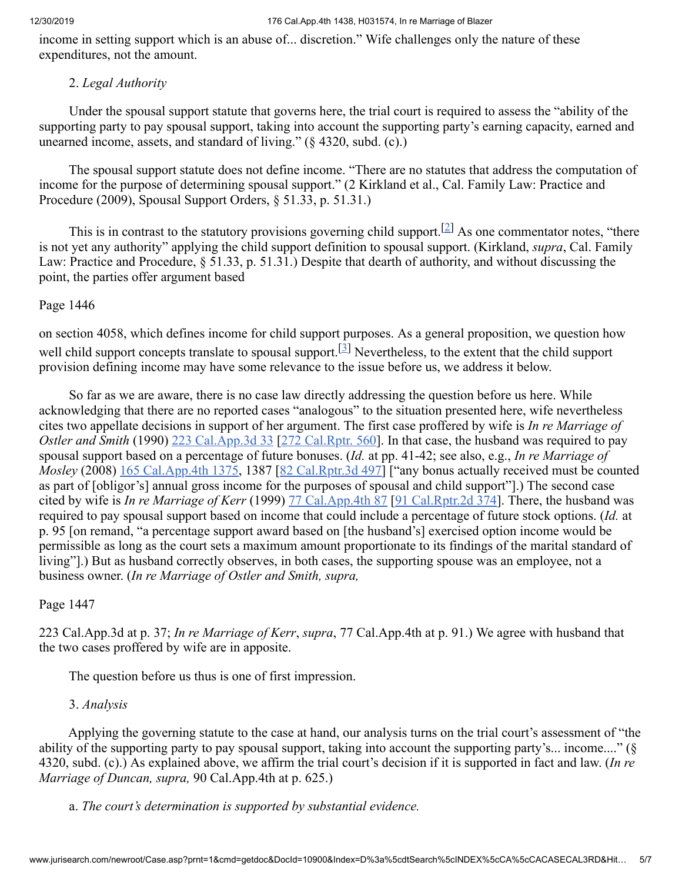#### 12/30/2019 176 Cal.App.4th 1438, H031574, In re Marriage of Blazer

income in setting support which is an abuse of... discretion." Wife challenges only the nature of these expenditures, not the amount.

### <span id="page-4-0"></span>2. *Legal Authority*

 Under the spousal support statute that governs here, the trial court is required to assess the "ability of the supporting party to pay spousal support, taking into account the supporting party's earning capacity, earned and unearned income, assets, and standard of living." (§ 4320, subd. (c).)

 The spousal support statute does not define income. "There are no statutes that address the computation of income for the purpose of determining spousal support." (2 Kirkland et al., Cal. Family Law: Practice and Procedure (2009), Spousal Support Orders, § 51.33, p. 51.31.)

This is in contrast to the statutory provisions governing child support.<sup>[[2\]](#page-6-4)</sup> As one commentator notes, "there is not yet any authority" applying the child support definition to spousal support. (Kirkland, *supra*, Cal. Family Law: Practice and Procedure, § 51.33, p. 51.31.) Despite that dearth of authority, and without discussing the point, the parties offer argument based

### Page 1446

<span id="page-4-1"></span>on section 4058, which defines income for child support purposes. As a general proposition, we question how well child support concepts translate to spousal support.<sup>[[3\]](#page-6-5)</sup> Nevertheless, to the extent that the child support provision defining income may have some relevance to the issue before us, we address it below.

 So far as we are aware, there is no case law directly addressing the question before us here. While acknowledging that there are no reported cases "analogous" to the situation presented here, wife nevertheless cites two appellate decisions in support of her argument. The first case proffered by wife is *In re Marriage of Ostler and Smith* (1990) [223 Cal.App.3d 33](http://www.jurisearch.com/newroot/caselink.asp?series=Cal.App.3d&citationno=223+Cal.App.3d+33) [\[272 Cal.Rptr. 560\]](http://www.jurisearch.com/newroot/caselink.asp?series=Cal.Rptr.&citationno=272+Cal.Rptr.+560). In that case, the husband was required to pay spousal support based on a percentage of future bonuses. (*Id.* at pp. 41-42; see also, e.g., *In re Marriage of Mosley* (2008) [165 Cal.App.4th 1375](http://www.jurisearch.com/newroot/caselink.asp?series=Cal.App.4th&citationno=165+Cal.App.4th+1375), 1387 [\[82 Cal.Rptr.3d 497](http://www.jurisearch.com/newroot/caselink.asp?series=Cal.Rptr.3d&citationno=82+Cal.Rptr.3d+497)] ["any bonus actually received must be counted as part of [obligor's] annual gross income for the purposes of spousal and child support"].) The second case cited by wife is *In re Marriage of Kerr* (1999) [77 Cal.App.4th 87](http://www.jurisearch.com/newroot/caselink.asp?series=Cal.App.4th&citationno=77+Cal.App.4th+87) [\[91 Cal.Rptr.2d 374](http://www.jurisearch.com/newroot/caselink.asp?series=Cal.Rptr.2d&citationno=91+Cal.Rptr.2d+374)]. There, the husband was required to pay spousal support based on income that could include a percentage of future stock options. (*Id.* at p. 95 [on remand, "a percentage support award based on [the husband's] exercised option income would be permissible as long as the court sets a maximum amount proportionate to its findings of the marital standard of living"].) But as husband correctly observes, in both cases, the supporting spouse was an employee, not a business owner. (*In re Marriage of Ostler and Smith, supra,*

### Page 1447

223 Cal.App.3d at p. 37; *In re Marriage of Kerr*, *supra*, 77 Cal.App.4th at p. 91.) We agree with husband that the two cases proffered by wife are in apposite.

The question before us thus is one of first impression.

### 3. *Analysis*

 Applying the governing statute to the case at hand, our analysis turns on the trial court's assessment of "the ability of the supporting party to pay spousal support, taking into account the supporting party's... income...." (§ 4320, subd. (c).) As explained above, we affirm the trial court's decision if it is supported in fact and law. (*In re Marriage of Duncan, supra,* 90 Cal.App.4th at p. 625.)

a. *The court's determination is supported by substantial evidence.*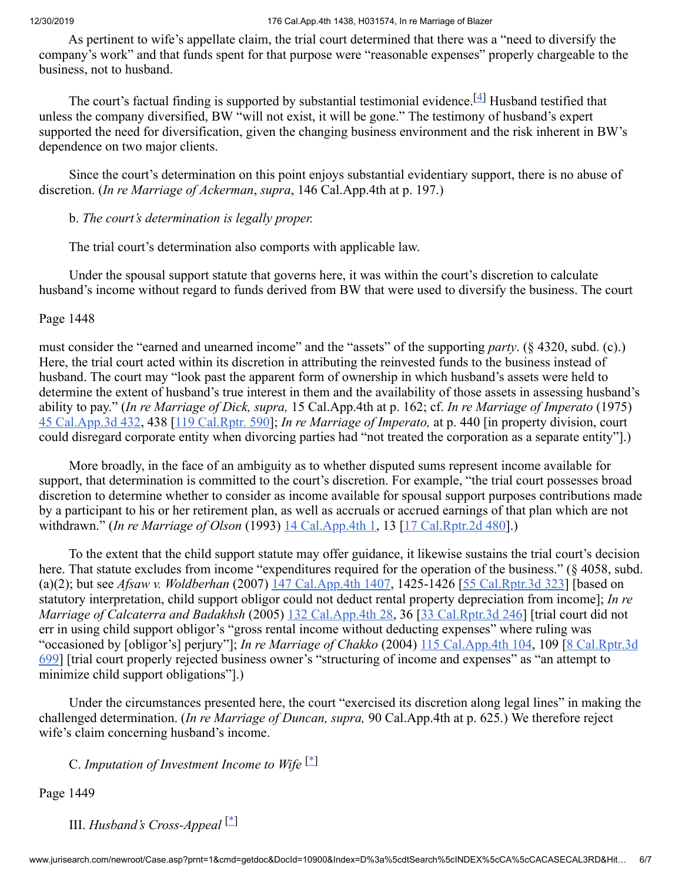As pertinent to wife's appellate claim, the trial court determined that there was a "need to diversify the company's work" and that funds spent for that purpose were "reasonable expenses" properly chargeable to the business, not to husband.

The court's factual finding is supported by substantial testimonial evidence. [ $4$ ] Husband testified that unless the company diversified, BW "will not exist, it will be gone." The testimony of husband's expert supported the need for diversification, given the changing business environment and the risk inherent in BW's dependence on two major clients.

 Since the court's determination on this point enjoys substantial evidentiary support, there is no abuse of discretion. (*In re Marriage of Ackerman*, *supra*, 146 Cal.App.4th at p. 197.)

<span id="page-5-2"></span>b. *The court's determination is legally proper.*

The trial court's determination also comports with applicable law.

 Under the spousal support statute that governs here, it was within the court's discretion to calculate husband's income without regard to funds derived from BW that were used to diversify the business. The court

Page 1448

must consider the "earned and unearned income" and the "assets" of the supporting *party*. (§ 4320, subd. (c).) Here, the trial court acted within its discretion in attributing the reinvested funds to the business instead of husband. The court may "look past the apparent form of ownership in which husband's assets were held to determine the extent of husband's true interest in them and the availability of those assets in assessing husband's ability to pay." (*In re Marriage of Dick, supra,* 15 Cal.App.4th at p. 162; cf. *In re Marriage of Imperato* (1975) [45 Cal.App.3d 432](http://www.jurisearch.com/newroot/caselink.asp?series=Cal.App.3d&citationno=45+Cal.App.3d+432), 438 [\[119 Cal.Rptr. 590](http://www.jurisearch.com/newroot/caselink.asp?series=Cal.Rptr.&citationno=119+Cal.Rptr.+590)]; *In re Marriage of Imperato,* at p. 440 [in property division, court could disregard corporate entity when divorcing parties had "not treated the corporation as a separate entity"].)

 More broadly, in the face of an ambiguity as to whether disputed sums represent income available for support, that determination is committed to the court's discretion. For example, "the trial court possesses broad discretion to determine whether to consider as income available for spousal support purposes contributions made by a participant to his or her retirement plan, as well as accruals or accrued earnings of that plan which are not withdrawn." (*In re Marriage of Olson* (1993) [14 Cal.App.4th 1,](http://www.jurisearch.com/newroot/caselink.asp?series=Cal.App.4th&citationno=14+Cal.App.4th+1) 13 [[17 Cal.Rptr.2d 480](http://www.jurisearch.com/newroot/caselink.asp?series=Cal.Rptr.2d&citationno=17+Cal.Rptr.2d+480)].)

 To the extent that the child support statute may offer guidance, it likewise sustains the trial court's decision here. That statute excludes from income "expenditures required for the operation of the business." (§ 4058, subd. (a)(2); but see *Afsaw v. Woldberhan* (2007) [147 Cal.App.4th 1407,](http://www.jurisearch.com/newroot/caselink.asp?series=Cal.App.4th&citationno=147+Cal.App.4th+1407) 1425-1426 [[55 Cal.Rptr.3d 323](http://www.jurisearch.com/newroot/caselink.asp?series=Cal.Rptr.3d&citationno=55+Cal.Rptr.3d+323)] [based on statutory interpretation, child support obligor could not deduct rental property depreciation from income]; *In re Marriage of Calcaterra and Badakhsh* (2005) [132 Cal.App.4th 28,](http://www.jurisearch.com/newroot/caselink.asp?series=Cal.App.4th&citationno=132+Cal.App.4th+28) 36 [[33 Cal.Rptr.3d 246](http://www.jurisearch.com/newroot/caselink.asp?series=Cal.Rptr.3d&citationno=33+Cal.Rptr.3d+246)] [trial court did not err in using child support obligor's "gross rental income without deducting expenses" where ruling was "occasioned by [obligor's] perjury"]; *In re Marriage of Chakko* (2004) [115 Cal.App.4th 104,](http://www.jurisearch.com/newroot/caselink.asp?series=Cal.App.4th&citationno=115+Cal.App.4th+104) 109 [8 Cal.Rptr.3d [699\] \[trial court properly rejected business owner's "structuring of income and expenses" as "an attempt to](http://www.jurisearch.com/newroot/caselink.asp?series=Cal.Rptr.3d&citationno=8+Cal.Rptr.3d+699) minimize child support obligations"].)

 Under the circumstances presented here, the court "exercised its discretion along legal lines" in making the challenged determination. (*In re Marriage of Duncan, supra,* 90 Cal.App.4th at p. 625.) We therefore reject wife's claim concerning husband's income.

<span id="page-5-0"></span>C. *Imputation of Investment Income to Wife* [\[\\*](#page-6-7)]

Page 1449

<span id="page-5-1"></span>III. *Husband's Cross-Appeal* [\[\\*](#page-6-8)]